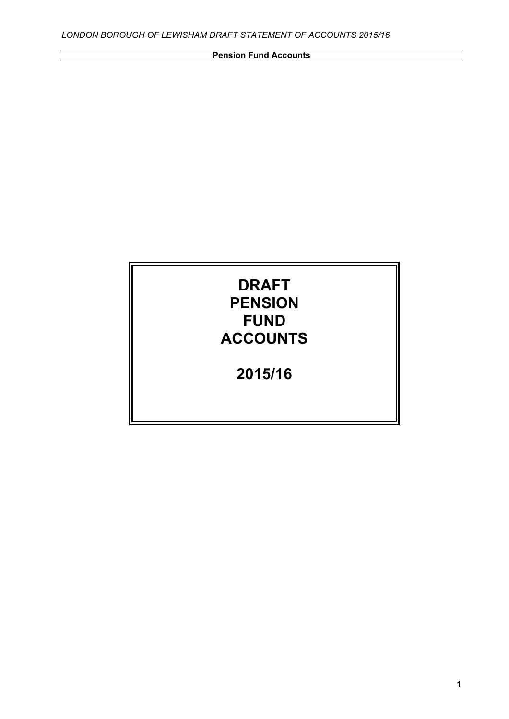# **DRAFT PENSION FUND ACCOUNTS**

**2015/16**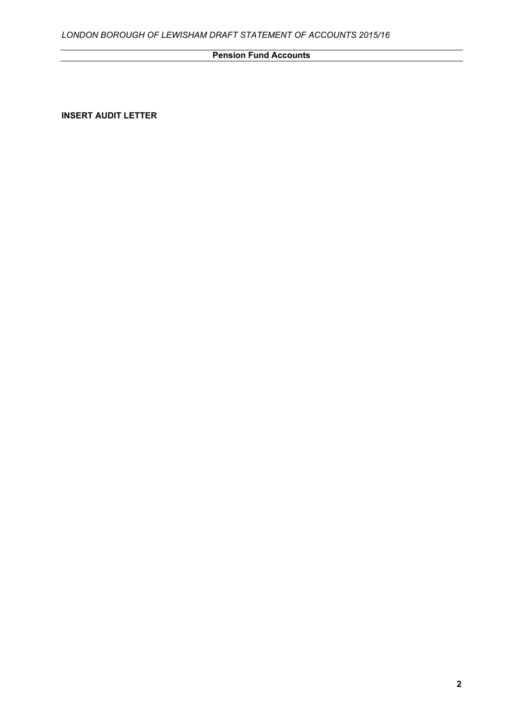**INSERT AUDIT LETTER**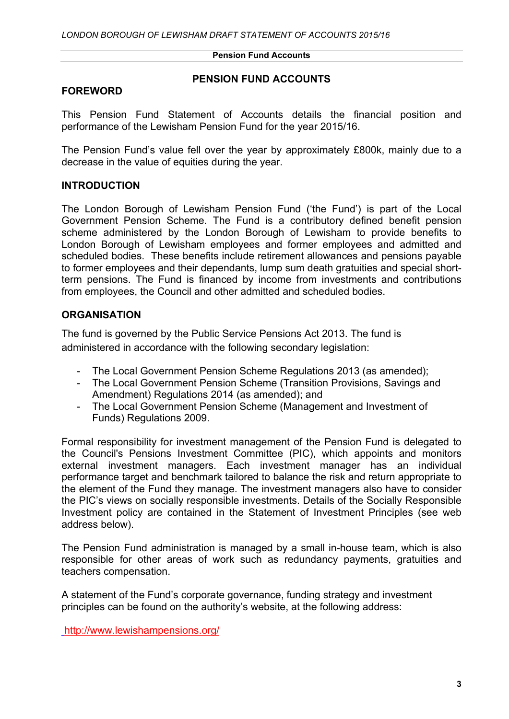### **FOREWORD**

### **PENSION FUND ACCOUNTS**

This Pension Fund Statement of Accounts details the financial position and performance of the Lewisham Pension Fund for the year 2015/16.

The Pension Fund's value fell over the year by approximately £800k, mainly due to a decrease in the value of equities during the year.

# **INTRODUCTION**

The London Borough of Lewisham Pension Fund ('the Fund') is part of the Local Government Pension Scheme. The Fund is a contributory defined benefit pension scheme administered by the London Borough of Lewisham to provide benefits to London Borough of Lewisham employees and former employees and admitted and scheduled bodies. These benefits include retirement allowances and pensions payable to former employees and their dependants, lump sum death gratuities and special shortterm pensions. The Fund is financed by income from investments and contributions from employees, the Council and other admitted and scheduled bodies.

# **ORGANISATION**

The fund is governed by the Public Service Pensions Act 2013. The fund is administered in accordance with the following secondary legislation:

- The Local Government Pension Scheme Regulations 2013 (as amended);
- The Local Government Pension Scheme (Transition Provisions, Savings and Amendment) Regulations 2014 (as amended); and
- The Local Government Pension Scheme (Management and Investment of Funds) Regulations 2009.

Formal responsibility for investment management of the Pension Fund is delegated to the Council's Pensions Investment Committee (PIC), which appoints and monitors external investment managers. Each investment manager has an individual performance target and benchmark tailored to balance the risk and return appropriate to the element of the Fund they manage. The investment managers also have to consider the PIC's views on socially responsible investments. Details of the Socially Responsible Investment policy are contained in the Statement of Investment Principles (see web address below).

The Pension Fund administration is managed by a small in-house team, which is also responsible for other areas of work such as redundancy payments, gratuities and teachers compensation.

A statement of the Fund's corporate governance, funding strategy and investment principles can be found on the authority's website, at the following address:

<http://www.lewishampensions.org/>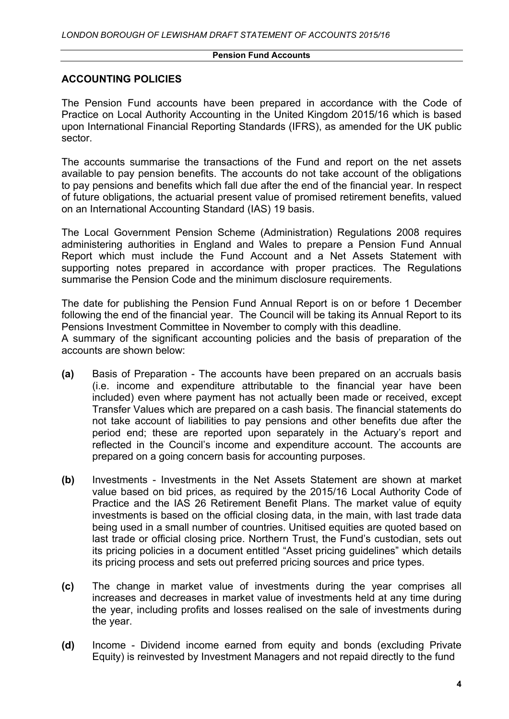### **ACCOUNTING POLICIES**

The Pension Fund accounts have been prepared in accordance with the Code of Practice on Local Authority Accounting in the United Kingdom 2015/16 which is based upon International Financial Reporting Standards (IFRS), as amended for the UK public sector.

The accounts summarise the transactions of the Fund and report on the net assets available to pay pension benefits. The accounts do not take account of the obligations to pay pensions and benefits which fall due after the end of the financial year. In respect of future obligations, the actuarial present value of promised retirement benefits, valued on an International Accounting Standard (IAS) 19 basis.

The Local Government Pension Scheme (Administration) Regulations 2008 requires administering authorities in England and Wales to prepare a Pension Fund Annual Report which must include the Fund Account and a Net Assets Statement with supporting notes prepared in accordance with proper practices. The Regulations summarise the Pension Code and the minimum disclosure requirements.

The date for publishing the Pension Fund Annual Report is on or before 1 December following the end of the financial year. The Council will be taking its Annual Report to its Pensions Investment Committee in November to comply with this deadline.

A summary of the significant accounting policies and the basis of preparation of the accounts are shown below:

- **(a)** Basis of Preparation The accounts have been prepared on an accruals basis (i.e. income and expenditure attributable to the financial year have been included) even where payment has not actually been made or received, except Transfer Values which are prepared on a cash basis. The financial statements do not take account of liabilities to pay pensions and other benefits due after the period end; these are reported upon separately in the Actuary's report and reflected in the Council's income and expenditure account. The accounts are prepared on a going concern basis for accounting purposes.
- **(b)** Investments Investments in the Net Assets Statement are shown at market value based on bid prices, as required by the 2015/16 Local Authority Code of Practice and the IAS 26 Retirement Benefit Plans. The market value of equity investments is based on the official closing data, in the main, with last trade data being used in a small number of countries. Unitised equities are quoted based on last trade or official closing price. Northern Trust, the Fund's custodian, sets out its pricing policies in a document entitled "Asset pricing guidelines" which details its pricing process and sets out preferred pricing sources and price types.
- **(c)** The change in market value of investments during the year comprises all increases and decreases in market value of investments held at any time during the year, including profits and losses realised on the sale of investments during the year.
- **(d)** Income Dividend income earned from equity and bonds (excluding Private Equity) is reinvested by Investment Managers and not repaid directly to the fund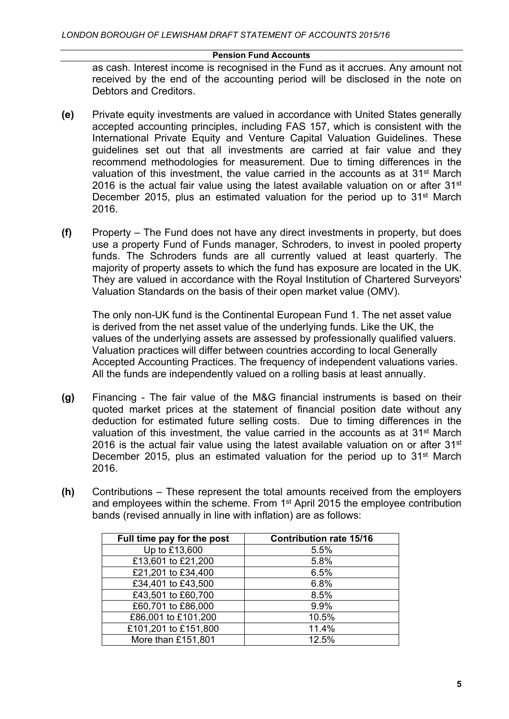as cash. Interest income is recognised in the Fund as it accrues. Any amount not received by the end of the accounting period will be disclosed in the note on Debtors and Creditors.

- **(e)** Private equity investments are valued in accordance with United States generally accepted accounting principles, including FAS 157, which is consistent with the International Private Equity and Venture Capital Valuation Guidelines. These guidelines set out that all investments are carried at fair value and they recommend methodologies for measurement. Due to timing differences in the valuation of this investment, the value carried in the accounts as at 31st March 2016 is the actual fair value using the latest available valuation on or after 31<sup>st</sup> December 2015, plus an estimated valuation for the period up to 31<sup>st</sup> March 2016.
- **(f)** Property The Fund does not have any direct investments in property, but does use a property Fund of Funds manager, Schroders, to invest in pooled property funds. The Schroders funds are all currently valued at least quarterly. The majority of property assets to which the fund has exposure are located in the UK. They are valued in accordance with the Royal Institution of Chartered Surveyors' Valuation Standards on the basis of their open market value (OMV).

The only non-UK fund is the Continental European Fund 1. The net asset value is derived from the net asset value of the underlying funds. Like the UK, the values of the underlying assets are assessed by professionally qualified valuers. Valuation practices will differ between countries according to local Generally Accepted Accounting Practices. The frequency of independent valuations varies. All the funds are independently valued on a rolling basis at least annually.

- **(g)** Financing The fair value of the M&G financial instruments is based on their quoted market prices at the statement of financial position date without any deduction for estimated future selling costs. Due to timing differences in the valuation of this investment, the value carried in the accounts as at 31st March 2016 is the actual fair value using the latest available valuation on or after  $31<sup>st</sup>$ December 2015, plus an estimated valuation for the period up to 31<sup>st</sup> March 2016.
- **(h)** Contributions These represent the total amounts received from the employers and employees within the scheme. From 1<sup>st</sup> April 2015 the employee contribution bands (revised annually in line with inflation) are as follows:

| Full time pay for the post | <b>Contribution rate 15/16</b> |
|----------------------------|--------------------------------|
| Up to £13,600              | 5.5%                           |
| £13,601 to £21,200         | 5.8%                           |
| £21,201 to £34,400         | 6.5%                           |
| £34,401 to £43,500         | 6.8%                           |
| £43,501 to £60,700         | 8.5%                           |
| £60,701 to £86,000         | 9.9%                           |
| £86,001 to £101,200        | 10.5%                          |
| £101,201 to £151,800       | 11.4%                          |
| More than £151,801         | 12.5%                          |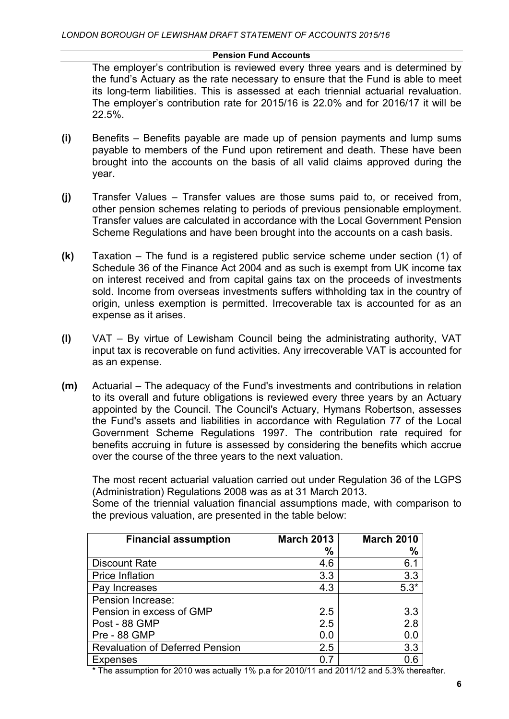The employer's contribution is reviewed every three years and is determined by the fund's Actuary as the rate necessary to ensure that the Fund is able to meet its long-term liabilities. This is assessed at each triennial actuarial revaluation. The employer's contribution rate for 2015/16 is 22.0% and for 2016/17 it will be 22.5%.

- **(i)** Benefits Benefits payable are made up of pension payments and lump sums payable to members of the Fund upon retirement and death. These have been brought into the accounts on the basis of all valid claims approved during the year.
- **(j)** Transfer Values Transfer values are those sums paid to, or received from, other pension schemes relating to periods of previous pensionable employment. Transfer values are calculated in accordance with the Local Government Pension Scheme Regulations and have been brought into the accounts on a cash basis.
- **(k)** Taxation The fund is a registered public service scheme under section (1) of Schedule 36 of the Finance Act 2004 and as such is exempt from UK income tax on interest received and from capital gains tax on the proceeds of investments sold. Income from overseas investments suffers withholding tax in the country of origin, unless exemption is permitted. Irrecoverable tax is accounted for as an expense as it arises.
- **(l)** VAT By virtue of Lewisham Council being the administrating authority, VAT input tax is recoverable on fund activities. Any irrecoverable VAT is accounted for as an expense.
- **(m)** Actuarial The adequacy of the Fund's investments and contributions in relation to its overall and future obligations is reviewed every three years by an Actuary appointed by the Council. The Council's Actuary, Hymans Robertson, assesses the Fund's assets and liabilities in accordance with Regulation 77 of the Local Government Scheme Regulations 1997. The contribution rate required for benefits accruing in future is assessed by considering the benefits which accrue over the course of the three years to the next valuation.

The most recent actuarial valuation carried out under Regulation 36 of the LGPS (Administration) Regulations 2008 was as at 31 March 2013.

Some of the triennial valuation financial assumptions made, with comparison to the previous valuation, are presented in the table below:

| <b>Financial assumption</b>            | <b>March 2013</b> | <b>March 2010</b> |
|----------------------------------------|-------------------|-------------------|
|                                        | %                 | %                 |
| Discount Rate                          | 4.6               | 6.1               |
| <b>Price Inflation</b>                 | 3.3               | 3.3               |
| Pay Increases                          | 4.3               | $5.3*$            |
| Pension Increase:                      |                   |                   |
| Pension in excess of GMP               | 2.5               | 3.3               |
| Post - 88 GMP                          | 2.5               | 2.8               |
| Pre - 88 GMP                           | 0.0               | 0.0               |
| <b>Revaluation of Deferred Pension</b> | 2.5               | 3.3               |
| <b>Expenses</b>                        | 0.7               |                   |

\* The assumption for 2010 was actually 1% p.a for 2010/11 and 2011/12 and 5.3% thereafter.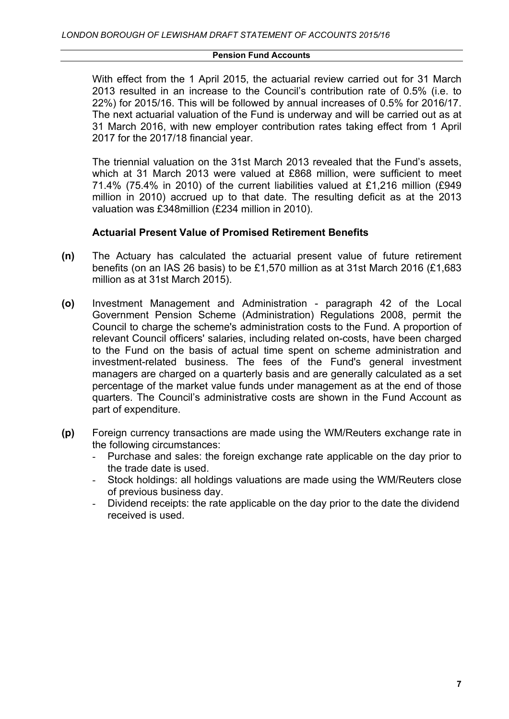With effect from the 1 April 2015, the actuarial review carried out for 31 March 2013 resulted in an increase to the Council's contribution rate of 0.5% (i.e. to 22%) for 2015/16. This will be followed by annual increases of 0.5% for 2016/17. The next actuarial valuation of the Fund is underway and will be carried out as at 31 March 2016, with new employer contribution rates taking effect from 1 April 2017 for the 2017/18 financial year.

The triennial valuation on the 31st March 2013 revealed that the Fund's assets, which at 31 March 2013 were valued at £868 million, were sufficient to meet 71.4% (75.4% in 2010) of the current liabilities valued at £1,216 million (£949 million in 2010) accrued up to that date. The resulting deficit as at the 2013 valuation was £348million (£234 million in 2010).

### **Actuarial Present Value of Promised Retirement Benefits**

- **(n)** The Actuary has calculated the actuarial present value of future retirement benefits (on an IAS 26 basis) to be £1,570 million as at 31st March 2016 (£1,683 million as at 31st March 2015).
- **(o)** Investment Management and Administration paragraph 42 of the Local Government Pension Scheme (Administration) Regulations 2008, permit the Council to charge the scheme's administration costs to the Fund. A proportion of relevant Council officers' salaries, including related on-costs, have been charged to the Fund on the basis of actual time spent on scheme administration and investment-related business. The fees of the Fund's general investment managers are charged on a quarterly basis and are generally calculated as a set percentage of the market value funds under management as at the end of those quarters. The Council's administrative costs are shown in the Fund Account as part of expenditure.
- **(p)** Foreign currency transactions are made using the WM/Reuters exchange rate in the following circumstances:
	- Purchase and sales: the foreign exchange rate applicable on the day prior to the trade date is used.
	- Stock holdings: all holdings valuations are made using the WM/Reuters close of previous business day.
	- Dividend receipts: the rate applicable on the day prior to the date the dividend received is used.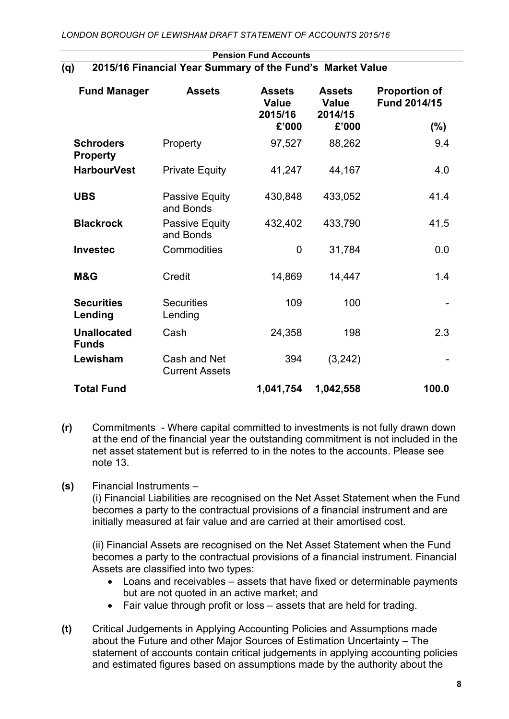| <b>Fund Manager</b>                 | <b>Assets</b>                         | <b>Assets</b><br><b>Value</b><br>2015/16<br>£'000 | <b>Assets</b><br><b>Value</b><br>2014/15<br>£'000 | <b>Proportion of</b><br>Fund 2014/15<br>$(\% )$ |
|-------------------------------------|---------------------------------------|---------------------------------------------------|---------------------------------------------------|-------------------------------------------------|
| <b>Schroders</b><br><b>Property</b> | Property                              | 97,527                                            | 88,262                                            | 9.4                                             |
| <b>HarbourVest</b>                  | <b>Private Equity</b>                 | 41,247                                            | 44,167                                            | 4.0                                             |
| <b>UBS</b>                          | Passive Equity<br>and Bonds           | 430,848                                           | 433,052                                           | 41.4                                            |
| <b>Blackrock</b>                    | Passive Equity<br>and Bonds           | 432,402                                           | 433,790                                           | 41.5                                            |
| <b>Investec</b>                     | Commodities                           | $\overline{0}$                                    | 31,784                                            | 0.0                                             |
| M&G                                 | Credit                                | 14,869                                            | 14,447                                            | 1.4                                             |
| <b>Securities</b><br>Lending        | <b>Securities</b><br>Lending          | 109                                               | 100                                               |                                                 |
| <b>Unallocated</b><br><b>Funds</b>  | Cash                                  | 24,358                                            | 198                                               | 2.3                                             |
| Lewisham                            | Cash and Net<br><b>Current Assets</b> | 394                                               | (3, 242)                                          |                                                 |
| <b>Total Fund</b>                   |                                       | 1,041,754                                         | 1,042,558                                         | 100.0                                           |

### **Pension Fund Accounts (q) 2015/16 Financial Year Summary of the Fund's Market Value**

- **(r)** Commitments Where capital committed to investments is not fully drawn down at the end of the financial year the outstanding commitment is not included in the net asset statement but is referred to in the notes to the accounts. Please see note 13.
- **(s)** Financial Instruments –

(i) Financial Liabilities are recognised on the Net Asset Statement when the Fund becomes a party to the contractual provisions of a financial instrument and are initially measured at fair value and are carried at their amortised cost.

(ii) Financial Assets are recognised on the Net Asset Statement when the Fund becomes a party to the contractual provisions of a financial instrument. Financial Assets are classified into two types:

- Loans and receivables assets that have fixed or determinable payments but are not quoted in an active market; and
- Fair value through profit or loss assets that are held for trading.
- **(t)** Critical Judgements in Applying Accounting Policies and Assumptions made about the Future and other Major Sources of Estimation Uncertainty – The statement of accounts contain critical judgements in applying accounting policies and estimated figures based on assumptions made by the authority about the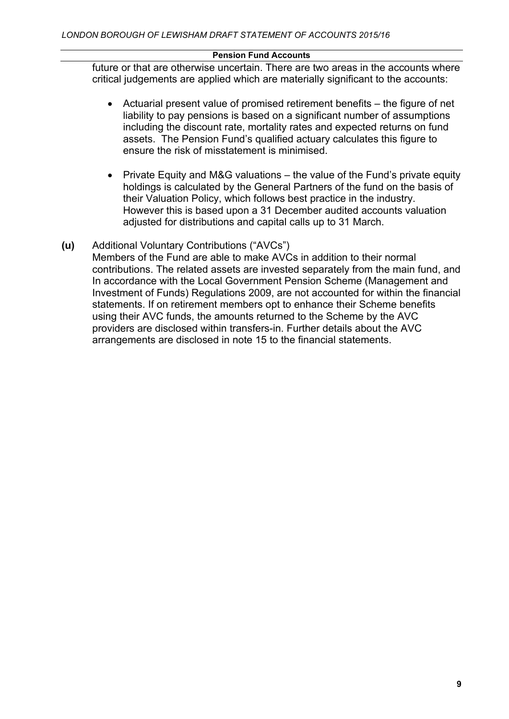future or that are otherwise uncertain. There are two areas in the accounts where critical judgements are applied which are materially significant to the accounts:

- Actuarial present value of promised retirement benefits the figure of net liability to pay pensions is based on a significant number of assumptions including the discount rate, mortality rates and expected returns on fund assets. The Pension Fund's qualified actuary calculates this figure to ensure the risk of misstatement is minimised.
- Private Equity and M&G valuations the value of the Fund's private equity holdings is calculated by the General Partners of the fund on the basis of their Valuation Policy, which follows best practice in the industry. However this is based upon a 31 December audited accounts valuation adjusted for distributions and capital calls up to 31 March.

# **(u)** Additional Voluntary Contributions ("AVCs")

Members of the Fund are able to make AVCs in addition to their normal contributions. The related assets are invested separately from the main fund, and In accordance with the Local Government Pension Scheme (Management and Investment of Funds) Regulations 2009, are not accounted for within the financial statements. If on retirement members opt to enhance their Scheme benefits using their AVC funds, the amounts returned to the Scheme by the AVC providers are disclosed within transfers-in. Further details about the AVC arrangements are disclosed in note 15 to the financial statements.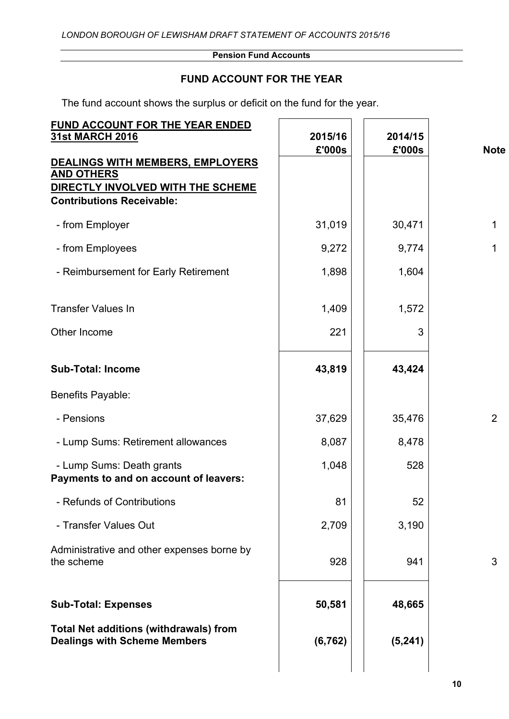# **FUND ACCOUNT FOR THE YEAR**

The fund account shows the surplus or deficit on the fund for the year.

| FUND ACCOUNT FOR THE YEAR ENDED<br><b>31st MARCH 2016</b>                                                                      | 2015/16<br>£'000s | 2014/15<br>£'000s | <b>Note</b>    |
|--------------------------------------------------------------------------------------------------------------------------------|-------------------|-------------------|----------------|
| DEALINGS WITH MEMBERS, EMPLOYERS<br><b>AND OTHERS</b><br>DIRECTLY INVOLVED WITH THE SCHEME<br><b>Contributions Receivable:</b> |                   |                   |                |
| - from Employer                                                                                                                | 31,019            | 30,471            | $\mathbf{1}$   |
| - from Employees                                                                                                               | 9,272             | 9,774             | $\mathbf 1$    |
| - Reimbursement for Early Retirement                                                                                           | 1,898             | 1,604             |                |
| <b>Transfer Values In</b>                                                                                                      | 1,409             | 1,572             |                |
| Other Income                                                                                                                   | 221               | 3                 |                |
| <b>Sub-Total: Income</b>                                                                                                       | 43,819            | 43,424            |                |
| Benefits Payable:                                                                                                              |                   |                   |                |
| - Pensions                                                                                                                     | 37,629            | 35,476            | $\overline{2}$ |
| - Lump Sums: Retirement allowances                                                                                             | 8,087             | 8,478             |                |
| - Lump Sums: Death grants<br>Payments to and on account of leavers:                                                            | 1,048             | 528               |                |
| - Refunds of Contributions                                                                                                     | 81                | 52                |                |
| - Transfer Values Out                                                                                                          | 2,709             | 3,190             |                |
| Administrative and other expenses borne by<br>the scheme                                                                       | 928               | 941               | 3              |
| <b>Sub-Total: Expenses</b>                                                                                                     | 50,581            | 48,665            |                |
| <b>Total Net additions (withdrawals) from</b><br><b>Dealings with Scheme Members</b>                                           | (6, 762)          | (5, 241)          |                |
|                                                                                                                                |                   |                   |                |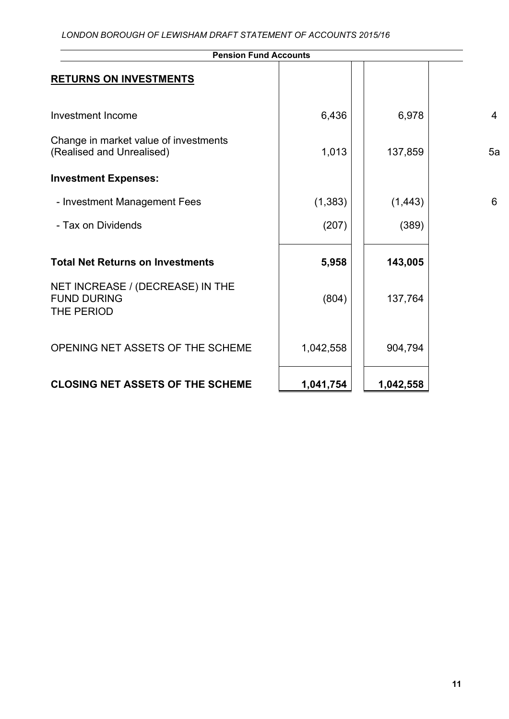| <b>Pension Fund Accounts</b>                                         |           |           |                |
|----------------------------------------------------------------------|-----------|-----------|----------------|
| <b>RETURNS ON INVESTMENTS</b>                                        |           |           |                |
| Investment Income                                                    | 6,436     | 6,978     | $\overline{4}$ |
| Change in market value of investments<br>(Realised and Unrealised)   | 1,013     | 137,859   | 5a             |
| <b>Investment Expenses:</b>                                          |           |           |                |
| - Investment Management Fees                                         | (1, 383)  | (1, 443)  | 6              |
| - Tax on Dividends                                                   | (207)     | (389)     |                |
| <b>Total Net Returns on Investments</b>                              | 5,958     | 143,005   |                |
| NET INCREASE / (DECREASE) IN THE<br><b>FUND DURING</b><br>THE PERIOD | (804)     | 137,764   |                |
| OPENING NET ASSETS OF THE SCHEME                                     | 1,042,558 | 904,794   |                |
| <b>CLOSING NET ASSETS OF THE SCHEME</b>                              | 1,041,754 | 1,042,558 |                |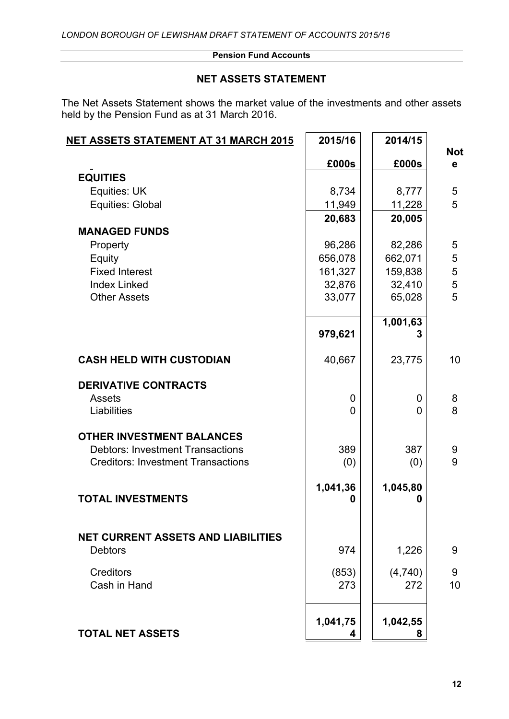# **NET ASSETS STATEMENT**

The Net Assets Statement shows the market value of the investments and other assets held by the Pension Fund as at 31 March 2016.

| <u>NET ASSETS STATEMENT AT 31 MARCH 2015</u>                | 2015/16     | 2014/15  |                            |
|-------------------------------------------------------------|-------------|----------|----------------------------|
|                                                             | £000s       | £000s    | <b>Not</b><br>$\mathbf{e}$ |
| <b>EQUITIES</b>                                             |             |          |                            |
| Equities: UK                                                | 8,734       | 8,777    | 5                          |
| Equities: Global                                            | 11,949      | 11,228   | 5                          |
|                                                             | 20,683      | 20,005   |                            |
| <b>MANAGED FUNDS</b>                                        |             |          |                            |
| Property                                                    | 96,286      | 82,286   | 5                          |
| Equity                                                      | 656,078     | 662,071  | 5                          |
| <b>Fixed Interest</b>                                       | 161,327     | 159,838  | 5                          |
| <b>Index Linked</b>                                         | 32,876      | 32,410   | 5                          |
| <b>Other Assets</b>                                         | 33,077      | 65,028   | 5                          |
|                                                             |             | 1,001,63 |                            |
|                                                             | 979,621     | 3        |                            |
| <b>CASH HELD WITH CUSTODIAN</b>                             | 40,667      | 23,775   | 10                         |
| <b>DERIVATIVE CONTRACTS</b>                                 |             |          |                            |
| <b>Assets</b>                                               | $\mathbf 0$ | 0        | 8                          |
| Liabilities                                                 | $\Omega$    | 0        | 8                          |
| <b>OTHER INVESTMENT BALANCES</b>                            |             |          |                            |
| <b>Debtors: Investment Transactions</b>                     | 389         | 387      | 9                          |
| <b>Creditors: Investment Transactions</b>                   | (0)         | (0)      | 9                          |
|                                                             | 1,041,36    | 1,045,80 |                            |
| <b>TOTAL INVESTMENTS</b>                                    | 0           | 0        |                            |
|                                                             |             |          |                            |
| <b>NET CURRENT ASSETS AND LIABILITIES</b><br><b>Debtors</b> | 974         |          | 9                          |
|                                                             |             | 1,226    |                            |
| <b>Creditors</b>                                            | (853)       | (4,740)  | 9                          |
| Cash in Hand                                                | 273         | 272      | 10                         |
|                                                             | 1,041,75    | 1,042,55 |                            |
| <b>TOTAL NET ASSETS</b>                                     |             | 8        |                            |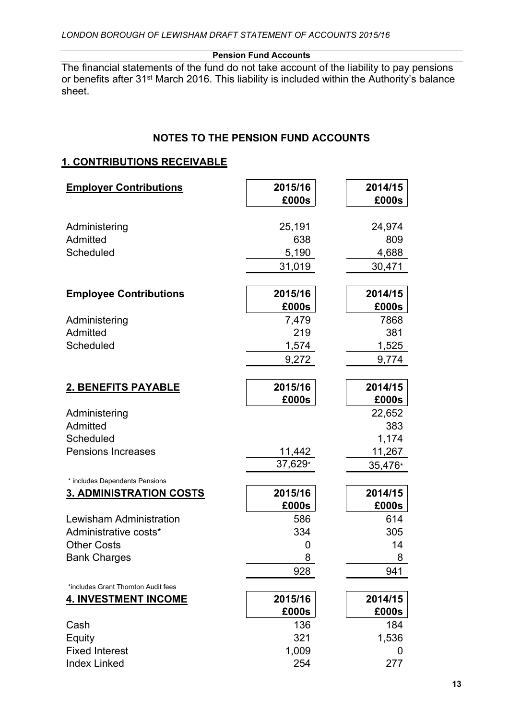The financial statements of the fund do not take account of the liability to pay pensions or benefits after 31<sup>st</sup> March 2016. This liability is included within the Authority's balance sheet.

# **NOTES TO THE PENSION FUND ACCOUNTS**

# **1. CONTRIBUTIONS RECEIVABLE**

| <b>Employer Contributions</b>       | 2015/16<br>£000s | 2014/15<br>£000s |
|-------------------------------------|------------------|------------------|
|                                     |                  |                  |
| Administering                       | 25,191           | 24,974           |
| Admitted                            | 638              | 809              |
| Scheduled                           | 5,190            | 4,688            |
|                                     | 31,019           | 30,471           |
|                                     |                  |                  |
| <b>Employee Contributions</b>       | 2015/16          | 2014/15          |
|                                     | £000s            | £000s            |
| Administering                       | 7,479            | 7868             |
| Admitted                            | 219              | 381              |
| Scheduled                           | 1,574            | 1,525            |
|                                     | 9,272            | 9,774            |
|                                     |                  |                  |
| <b>2. BENEFITS PAYABLE</b>          | 2015/16          | 2014/15          |
|                                     | £000s            | £000s            |
| Administering                       |                  | 22,652           |
| Admitted                            |                  | 383              |
| Scheduled                           |                  | 1,174            |
| <b>Pensions Increases</b>           | 11,442           | 11,267           |
|                                     | 37,629*          | 35,476*          |
| * includes Dependents Pensions      |                  |                  |
| <b>3. ADMINISTRATION COSTS</b>      | 2015/16          | 2014/15          |
|                                     | £000s            | £000s            |
| <b>Lewisham Administration</b>      | 586              | 614              |
| Administrative costs*               | 334              | 305              |
| <b>Other Costs</b>                  | 0                | 14               |
| <b>Bank Charges</b>                 | 8                | 8                |
|                                     | 928              | 941              |
| *includes Grant Thornton Audit fees |                  |                  |
| <b>4. INVESTMENT INCOME</b>         | 2015/16          | 2014/15          |
|                                     | £000s            | £000s            |
| Cash                                | 136              | 184              |
| Equity                              | 321              | 1,536            |
| <b>Fixed Interest</b>               | 1,009            | 0                |
| <b>Index Linked</b>                 | 254              | 277              |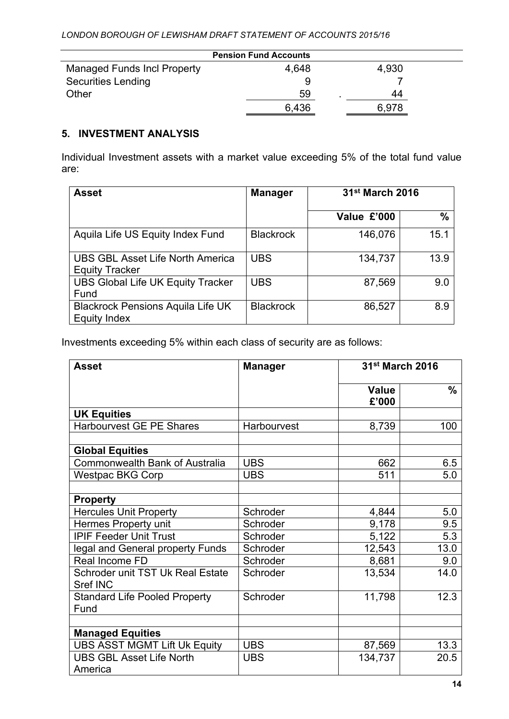| <b>Pension Fund Accounts</b>       |       |       |  |
|------------------------------------|-------|-------|--|
| <b>Managed Funds Incl Property</b> | 4,648 | 4,930 |  |
| <b>Securities Lending</b>          |       |       |  |
| Other                              | 59    | 44    |  |
|                                    | 6,436 | 6.978 |  |

# **5. INVESTMENT ANALYSIS**

Individual Investment assets with a market value exceeding 5% of the total fund value are:

| Asset                                                            | <b>Manager</b>   | 31 <sup>st</sup> March 2016 |               |
|------------------------------------------------------------------|------------------|-----------------------------|---------------|
|                                                                  |                  | Value £'000                 | $\frac{0}{0}$ |
| Aquila Life US Equity Index Fund                                 | <b>Blackrock</b> | 146,076                     | 15.1          |
| <b>UBS GBL Asset Life North America</b><br><b>Equity Tracker</b> | <b>UBS</b>       | 134,737                     | 13.9          |
| <b>UBS Global Life UK Equity Tracker</b><br>Fund                 | <b>UBS</b>       | 87,569                      | 9.0           |
| <b>Blackrock Pensions Aquila Life UK</b><br><b>Equity Index</b>  | <b>Blackrock</b> | 86,527                      | 8.9           |

Investments exceeding 5% within each class of security are as follows:

| <b>Asset</b>                                        | <b>Manager</b> | 31st March 2016       |               |  |  |
|-----------------------------------------------------|----------------|-----------------------|---------------|--|--|
|                                                     |                | <b>Value</b><br>£'000 | $\frac{0}{0}$ |  |  |
| <b>UK Equities</b>                                  |                |                       |               |  |  |
| <b>Harbourvest GE PE Shares</b>                     | Harbourvest    | 8,739                 | 100           |  |  |
| <b>Global Equities</b>                              |                |                       |               |  |  |
| <b>Commonwealth Bank of Australia</b>               | <b>UBS</b>     | 662                   | 6.5           |  |  |
| <b>Westpac BKG Corp</b>                             | <b>UBS</b>     | 511                   | 5.0           |  |  |
| <b>Property</b>                                     |                |                       |               |  |  |
| <b>Hercules Unit Property</b>                       | Schroder       | 4,844                 | 5.0           |  |  |
| Hermes Property unit                                | Schroder       | 9,178                 | 9.5           |  |  |
| <b>IPIF Feeder Unit Trust</b>                       | Schroder       | 5,122                 | 5.3           |  |  |
| legal and General property Funds                    | Schroder       | 12,543                | 13.0          |  |  |
| Real Income FD                                      | Schroder       | 8,681                 | 9.0           |  |  |
| Schroder unit TST Uk Real Estate<br><b>Sref INC</b> | Schroder       | 13,534                | 14.0          |  |  |
| <b>Standard Life Pooled Property</b><br>Fund        | Schroder       | 11,798                | 12.3          |  |  |
|                                                     |                |                       |               |  |  |
| <b>Managed Equities</b>                             |                |                       |               |  |  |
| <b>UBS ASST MGMT Lift Uk Equity</b>                 | <b>UBS</b>     | 87,569                | 13.3          |  |  |
| <b>UBS GBL Asset Life North</b><br>America          | <b>UBS</b>     | 134,737               | 20.5          |  |  |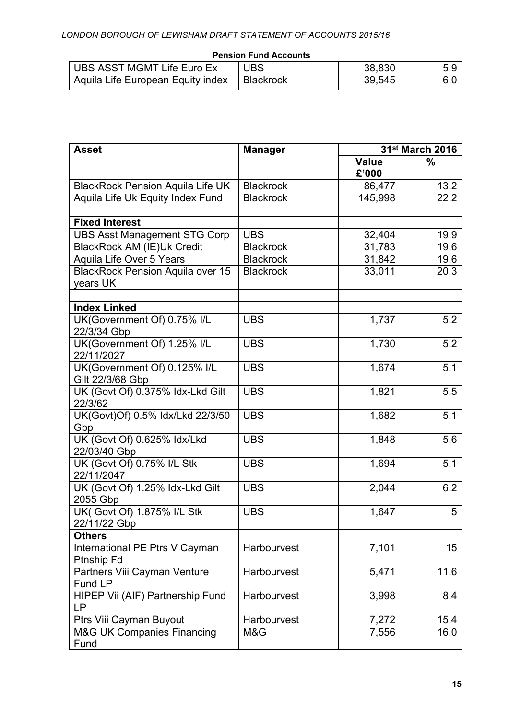L.

| <b>Pension Fund Accounts</b>      |                  |        |     |
|-----------------------------------|------------------|--------|-----|
| UBS ASST MGMT Life Euro Ex        | <b>UBS</b>       | 38,830 | 5.9 |
| Aquila Life European Equity index | <b>Blackrock</b> | 39,545 | 6.0 |

| <b>Asset</b>                                        | <b>Manager</b>   |                       |      |  | 31st March 2016 |
|-----------------------------------------------------|------------------|-----------------------|------|--|-----------------|
|                                                     |                  | <b>Value</b><br>£'000 | ℅    |  |                 |
| <b>BlackRock Pension Aquila Life UK</b>             | <b>Blackrock</b> | 86,477                | 13.2 |  |                 |
| Aquila Life Uk Equity Index Fund                    | <b>Blackrock</b> | 145,998               | 22.2 |  |                 |
|                                                     |                  |                       |      |  |                 |
| <b>Fixed Interest</b>                               |                  |                       |      |  |                 |
| <b>UBS Asst Management STG Corp</b>                 | <b>UBS</b>       | 32,404                | 19.9 |  |                 |
| <b>BlackRock AM (IE)Uk Credit</b>                   | <b>Blackrock</b> | 31,783                | 19.6 |  |                 |
| Aquila Life Over 5 Years                            | <b>Blackrock</b> | 31,842                | 19.6 |  |                 |
| <b>BlackRock Pension Aquila over 15</b><br>years UK | <b>Blackrock</b> | 33,011                | 20.3 |  |                 |
| <b>Index Linked</b>                                 |                  |                       |      |  |                 |
| UK(Government Of) 0.75% I/L<br>22/3/34 Gbp          | <b>UBS</b>       | 1,737                 | 5.2  |  |                 |
| UK(Government Of) 1.25% I/L<br>22/11/2027           | <b>UBS</b>       | 1,730                 | 5.2  |  |                 |
| UK(Government Of) 0.125% I/L<br>Gilt 22/3/68 Gbp    | <b>UBS</b>       | 1,674                 | 5.1  |  |                 |
| UK (Govt Of) 0.375% Idx-Lkd Gilt<br>22/3/62         | <b>UBS</b>       | 1,821                 | 5.5  |  |                 |
| UK(Govt)Of) 0.5% Idx/Lkd 22/3/50<br>Gbp             | <b>UBS</b>       | 1,682                 | 5.1  |  |                 |
| UK (Govt Of) 0.625% Idx/Lkd<br>22/03/40 Gbp         | <b>UBS</b>       | 1,848                 | 5.6  |  |                 |
| UK (Govt Of) 0.75% I/L Stk<br>22/11/2047            | <b>UBS</b>       | 1,694                 | 5.1  |  |                 |
| UK (Govt Of) 1.25% Idx-Lkd Gilt<br>2055 Gbp         | <b>UBS</b>       | 2,044                 | 6.2  |  |                 |
| UK( Govt Of) 1.875% I/L Stk<br>22/11/22 Gbp         | <b>UBS</b>       | 1,647                 | 5    |  |                 |
| <b>Others</b>                                       |                  |                       |      |  |                 |
| International PE Ptrs V Cayman<br>Ptnship Fd        | Harbourvest      | 7,101                 | 15   |  |                 |
| Partners Viii Cayman Venture<br>Fund LP             | Harbourvest      | 5,471                 | 11.6 |  |                 |
| HIPEP Vii (AIF) Partnership Fund<br><b>LP</b>       | Harbourvest      | 3,998                 | 8.4  |  |                 |
| Ptrs Viii Cayman Buyout                             | Harbourvest      | 7,272                 | 15.4 |  |                 |
| <b>M&amp;G UK Companies Financing</b><br>Fund       | M&G              | 7,556                 | 16.0 |  |                 |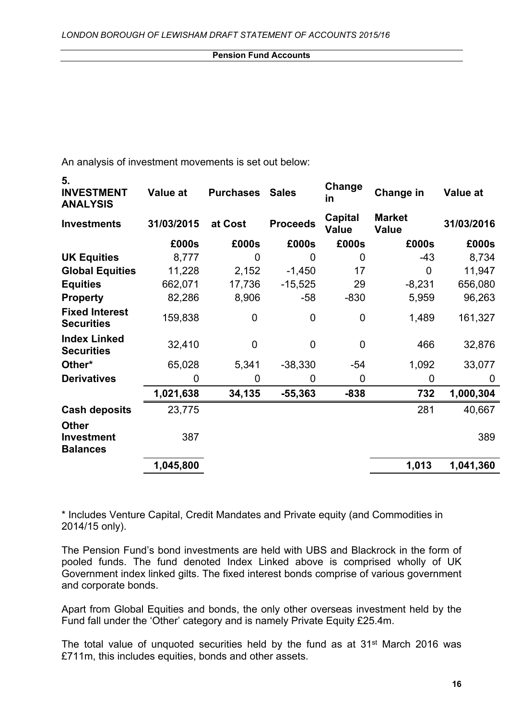| An analysis of investment movements is set out below: |  |
|-------------------------------------------------------|--|
|-------------------------------------------------------|--|

**5.**

| <b>INVESTMENT</b><br><b>ANALYSIS</b>                 | <b>Value at</b> | <b>Purchases</b> | <b>Sales</b>    | Change<br>in            | Change in                     | <b>Value at</b> |
|------------------------------------------------------|-----------------|------------------|-----------------|-------------------------|-------------------------------|-----------------|
| <b>Investments</b>                                   | 31/03/2015      | at Cost          | <b>Proceeds</b> | Capital<br><b>Value</b> | <b>Market</b><br><b>Value</b> | 31/03/2016      |
|                                                      | £000s           | £000s            | £000s           | £000s                   | £000s                         | £000s           |
| <b>UK Equities</b>                                   | 8,777           | $\overline{0}$   | $\overline{0}$  | 0                       | $-43$                         | 8,734           |
| <b>Global Equities</b>                               | 11,228          | 2,152            | $-1,450$        | 17                      | $\mathbf 0$                   | 11,947          |
| <b>Equities</b>                                      | 662,071         | 17,736           | $-15,525$       | 29                      | $-8,231$                      | 656,080         |
| <b>Property</b>                                      | 82,286          | 8,906            | $-58$           | $-830$                  | 5,959                         | 96,263          |
| <b>Fixed Interest</b><br><b>Securities</b>           | 159,838         | $\overline{0}$   | $\overline{0}$  | $\mathbf 0$             | 1,489                         | 161,327         |
| <b>Index Linked</b><br><b>Securities</b>             | 32,410          | $\mathbf 0$      | $\mathbf 0$     | $\mathbf 0$             | 466                           | 32,876          |
| Other*                                               | 65,028          | 5,341            | $-38,330$       | $-54$                   | 1,092                         | 33,077          |
| <b>Derivatives</b>                                   | 0               | 0                | 0               | 0                       | 0                             | O               |
|                                                      | 1,021,638       | 34,135           | $-55,363$       | $-838$                  | 732                           | 1,000,304       |
| <b>Cash deposits</b>                                 | 23,775          |                  |                 |                         | 281                           | 40,667          |
| <b>Other</b><br><b>Investment</b><br><b>Balances</b> | 387             |                  |                 |                         |                               | 389             |
|                                                      | 1,045,800       |                  |                 |                         | 1,013                         | 1,041,360       |
|                                                      |                 |                  |                 |                         |                               |                 |

\* Includes Venture Capital, Credit Mandates and Private equity (and Commodities in 2014/15 only).

The Pension Fund's bond investments are held with UBS and Blackrock in the form of pooled funds. The fund denoted Index Linked above is comprised wholly of UK Government index linked gilts. The fixed interest bonds comprise of various government and corporate bonds.

Apart from Global Equities and bonds, the only other overseas investment held by the Fund fall under the 'Other' category and is namely Private Equity £25.4m.

The total value of unquoted securities held by the fund as at 31<sup>st</sup> March 2016 was £711m, this includes equities, bonds and other assets.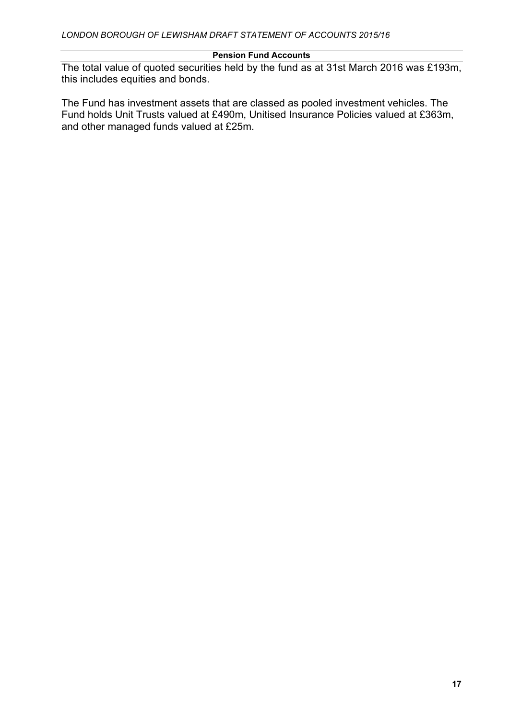The total value of quoted securities held by the fund as at 31st March 2016 was £193m, this includes equities and bonds.

The Fund has investment assets that are classed as pooled investment vehicles. The Fund holds Unit Trusts valued at £490m, Unitised Insurance Policies valued at £363m, and other managed funds valued at £25m.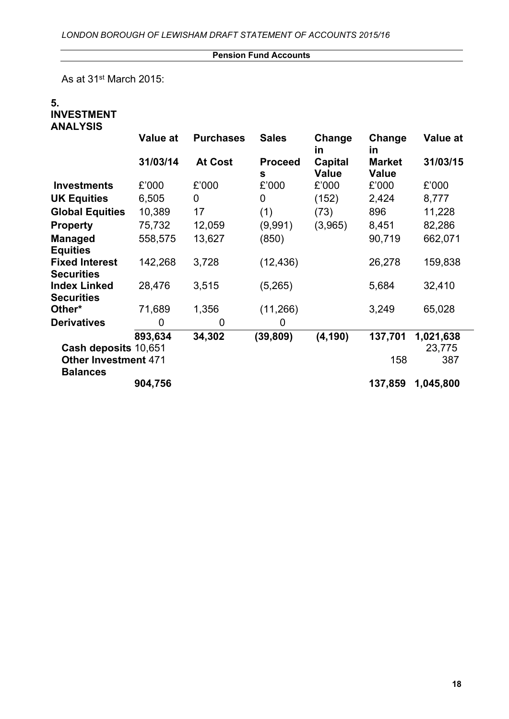As at 31<sup>st</sup> March 2015:

### **5. INVESTMENT ANALYSIS**

|                                            | Value at | <b>Purchases</b> | <b>Sales</b>        | Change<br><u>in</u>            | Change<br>in                  | <b>Value at</b> |
|--------------------------------------------|----------|------------------|---------------------|--------------------------------|-------------------------------|-----------------|
|                                            | 31/03/14 | <b>At Cost</b>   | <b>Proceed</b><br>S | <b>Capital</b><br><b>Value</b> | <b>Market</b><br><b>Value</b> | 31/03/15        |
| <b>Investments</b>                         | £'000    | £'000            | £'000               | £'000                          | £'000                         | £'000           |
| <b>UK Equities</b>                         | 6,505    | 0                | 0                   | (152)                          | 2,424                         | 8,777           |
| <b>Global Equities</b>                     | 10,389   | 17               | (1)                 | (73)                           | 896                           | 11,228          |
| <b>Property</b>                            | 75,732   | 12,059           | (9,991)             | (3,965)                        | 8,451                         | 82,286          |
| <b>Managed</b><br><b>Equities</b>          | 558,575  | 13,627           | (850)               |                                | 90,719                        | 662,071         |
| <b>Fixed Interest</b><br><b>Securities</b> | 142,268  | 3,728            | (12, 436)           |                                | 26,278                        | 159,838         |
| <b>Index Linked</b><br><b>Securities</b>   | 28,476   | 3,515            | (5,265)             |                                | 5,684                         | 32,410          |
| Other*                                     | 71,689   | 1,356            | (11,266)            |                                | 3,249                         | 65,028          |
| <b>Derivatives</b>                         | 0        | 0                | 0                   |                                |                               |                 |
|                                            | 893,634  | 34,302           | (39, 809)           | (4, 190)                       | 137,701                       | 1,021,638       |
| Cash deposits 10,651                       |          |                  |                     |                                |                               | 23,775          |
| <b>Other Investment 471</b>                |          |                  |                     |                                | 158                           | 387             |
| <b>Balances</b>                            | 904,756  |                  |                     |                                | 137,859                       | 1,045,800       |
|                                            |          |                  |                     |                                |                               |                 |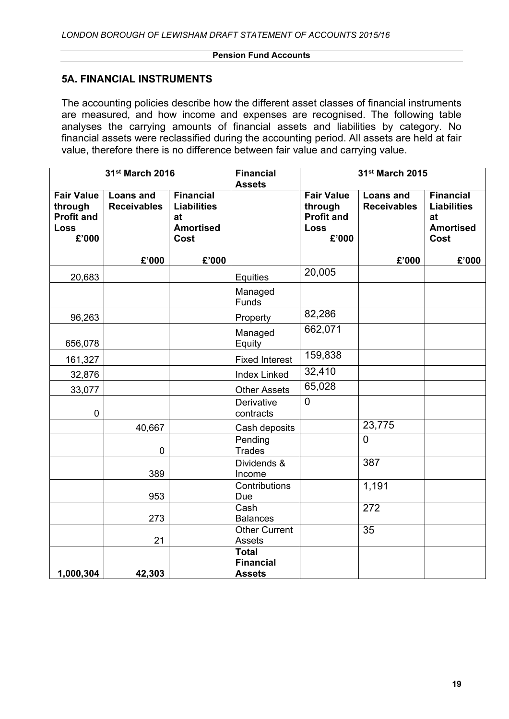### **5A. FINANCIAL INSTRUMENTS**

The accounting policies describe how the different asset classes of financial instruments are measured, and how income and expenses are recognised. The following table analyses the carrying amounts of financial assets and liabilities by category. No financial assets were reclassified during the accounting period. All assets are held at fair value, therefore there is no difference between fair value and carrying value.

|                                                                           | 31st March 2016                        |                                                                          | <b>Financial</b><br><b>Assets</b>                 | 31st March 2015                                                           |                                        |                                                                          |
|---------------------------------------------------------------------------|----------------------------------------|--------------------------------------------------------------------------|---------------------------------------------------|---------------------------------------------------------------------------|----------------------------------------|--------------------------------------------------------------------------|
| <b>Fair Value</b><br>through<br><b>Profit and</b><br><b>Loss</b><br>£'000 | <b>Loans and</b><br><b>Receivables</b> | <b>Financial</b><br><b>Liabilities</b><br>at<br><b>Amortised</b><br>Cost |                                                   | <b>Fair Value</b><br>through<br><b>Profit and</b><br><b>Loss</b><br>£'000 | <b>Loans and</b><br><b>Receivables</b> | <b>Financial</b><br><b>Liabilities</b><br>at<br><b>Amortised</b><br>Cost |
|                                                                           | £'000                                  | £'000                                                                    |                                                   |                                                                           | £'000                                  | £'000                                                                    |
| 20,683                                                                    |                                        |                                                                          | Equities                                          | 20,005                                                                    |                                        |                                                                          |
|                                                                           |                                        |                                                                          | Managed<br>Funds                                  |                                                                           |                                        |                                                                          |
| 96,263                                                                    |                                        |                                                                          | Property                                          | 82,286                                                                    |                                        |                                                                          |
| 656,078                                                                   |                                        |                                                                          | Managed<br>Equity                                 | 662,071                                                                   |                                        |                                                                          |
| 161,327                                                                   |                                        |                                                                          | <b>Fixed Interest</b>                             | 159,838                                                                   |                                        |                                                                          |
| 32,876                                                                    |                                        |                                                                          | <b>Index Linked</b>                               | 32,410                                                                    |                                        |                                                                          |
| 33,077                                                                    |                                        |                                                                          | <b>Other Assets</b>                               | 65,028                                                                    |                                        |                                                                          |
| $\pmb{0}$                                                                 |                                        |                                                                          | Derivative<br>contracts                           | $\mathbf 0$                                                               |                                        |                                                                          |
|                                                                           | 40,667                                 |                                                                          | Cash deposits                                     |                                                                           | 23,775                                 |                                                                          |
|                                                                           | $\overline{0}$                         |                                                                          | Pending<br><b>Trades</b>                          |                                                                           | $\overline{0}$                         |                                                                          |
|                                                                           | 389                                    |                                                                          | Dividends &<br>Income                             |                                                                           | 387                                    |                                                                          |
|                                                                           | 953                                    |                                                                          | Contributions<br>Due                              |                                                                           | 1,191                                  |                                                                          |
|                                                                           | 273                                    |                                                                          | Cash<br><b>Balances</b>                           |                                                                           | 272                                    |                                                                          |
|                                                                           | 21                                     |                                                                          | <b>Other Current</b><br>Assets                    |                                                                           | 35                                     |                                                                          |
| 1,000,304                                                                 | 42,303                                 |                                                                          | <b>Total</b><br><b>Financial</b><br><b>Assets</b> |                                                                           |                                        |                                                                          |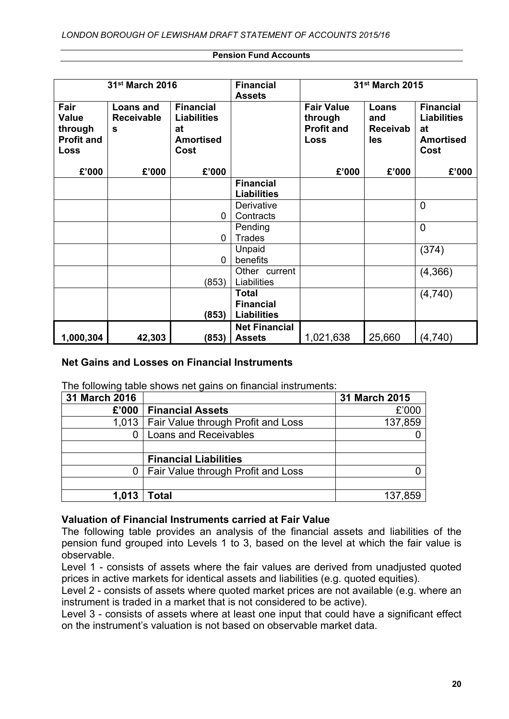| 31 <sup>st</sup> March 2016                                  |                                            | <b>Financial</b><br><b>Assets</b>                                        | 31st March 2015                                        |                                                           |                                        |                                                                          |
|--------------------------------------------------------------|--------------------------------------------|--------------------------------------------------------------------------|--------------------------------------------------------|-----------------------------------------------------------|----------------------------------------|--------------------------------------------------------------------------|
| Fair<br><b>Value</b><br>through<br><b>Profit and</b><br>Loss | <b>Loans and</b><br><b>Receivable</b><br>S | <b>Financial</b><br><b>Liabilities</b><br>at<br><b>Amortised</b><br>Cost |                                                        | <b>Fair Value</b><br>through<br><b>Profit and</b><br>Loss | Loans<br>and<br><b>Receivab</b><br>les | <b>Financial</b><br><b>Liabilities</b><br>at<br><b>Amortised</b><br>Cost |
| £'000                                                        | £'000                                      | £'000                                                                    |                                                        | £'000                                                     | £'000                                  | £'000                                                                    |
|                                                              |                                            |                                                                          | <b>Financial</b><br><b>Liabilities</b>                 |                                                           |                                        |                                                                          |
|                                                              |                                            | 0                                                                        | Derivative<br>Contracts                                |                                                           |                                        | $\overline{0}$                                                           |
|                                                              |                                            | 0                                                                        | Pending<br><b>Trades</b>                               |                                                           |                                        | $\overline{0}$                                                           |
|                                                              |                                            | 0                                                                        | Unpaid<br>benefits                                     |                                                           |                                        | (374)                                                                    |
|                                                              |                                            | (853)                                                                    | Other current<br>Liabilities                           |                                                           |                                        | (4, 366)                                                                 |
|                                                              |                                            | (853)                                                                    | <b>Total</b><br><b>Financial</b><br><b>Liabilities</b> |                                                           |                                        | (4,740)                                                                  |
| 1,000,304                                                    | 42,303                                     | (853)                                                                    | <b>Net Financial</b><br><b>Assets</b>                  | 1,021,638                                                 | 25,660                                 | (4,740)                                                                  |

# **Net Gains and Losses on Financial Instruments**

The following table shows net gains on financial instruments:

| 31 March 2016 |                                            | 31 March 2015 |
|---------------|--------------------------------------------|---------------|
| £'000         | <b>Financial Assets</b>                    | £'000         |
|               | 1,013   Fair Value through Profit and Loss | 137,859       |
|               | <b>Loans and Receivables</b>               |               |
|               |                                            |               |
|               | <b>Financial Liabilities</b>               |               |
| 0             | <b>Fair Value through Profit and Loss</b>  |               |
|               |                                            |               |
| 1,013         | Total                                      | 137,859       |

# **Valuation of Financial Instruments carried at Fair Value**

The following table provides an analysis of the financial assets and liabilities of the pension fund grouped into Levels 1 to 3, based on the level at which the fair value is observable.

Level 1 - consists of assets where the fair values are derived from unadjusted quoted prices in active markets for identical assets and liabilities (e.g. quoted equities).

Level 2 - consists of assets where quoted market prices are not available (e.g. where an instrument is traded in a market that is not considered to be active).

Level 3 - consists of assets where at least one input that could have a significant effect on the instrument's valuation is not based on observable market data.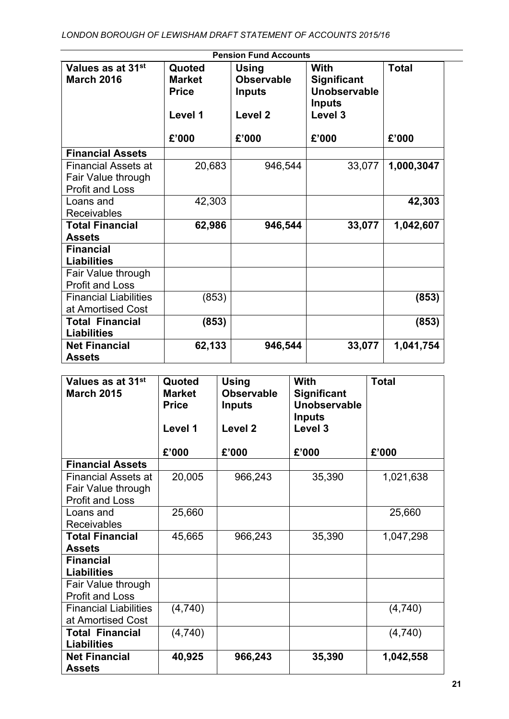| Values as at 31 <sup>st</sup>                                              | Quoted                                                                                                                                                                            | <b>Using</b> | With   | <b>Total</b> |
|----------------------------------------------------------------------------|-----------------------------------------------------------------------------------------------------------------------------------------------------------------------------------|--------------|--------|--------------|
| <b>March 2016</b>                                                          | <b>Observable</b><br><b>Market</b><br><b>Significant</b><br>Unobservable<br><b>Price</b><br><b>Inputs</b><br><b>Inputs</b><br>Level 1<br>Level <sub>2</sub><br>Level <sub>3</sub> |              |        |              |
|                                                                            | £'000                                                                                                                                                                             | £'000        | £'000  | £'000        |
| <b>Financial Assets</b>                                                    |                                                                                                                                                                                   |              |        |              |
| <b>Financial Assets at</b><br>Fair Value through<br><b>Profit and Loss</b> | 20,683                                                                                                                                                                            | 946,544      | 33,077 | 1,000,3047   |
| Loans and<br><b>Receivables</b>                                            | 42,303                                                                                                                                                                            |              |        | 42,303       |
| <b>Total Financial</b><br><b>Assets</b>                                    | 62,986                                                                                                                                                                            | 946,544      | 33,077 | 1,042,607    |
| <b>Financial</b><br><b>Liabilities</b>                                     |                                                                                                                                                                                   |              |        |              |
| Fair Value through<br><b>Profit and Loss</b>                               |                                                                                                                                                                                   |              |        |              |
| <b>Financial Liabilities</b><br>at Amortised Cost                          | (853)                                                                                                                                                                             |              |        | (853)        |
| <b>Total Financial</b><br><b>Liabilities</b>                               | (853)                                                                                                                                                                             |              |        | (853)        |
| <b>Net Financial</b><br><b>Assets</b>                                      | 62,133                                                                                                                                                                            | 946,544      | 33,077 | 1,041,754    |

| Values as at 31st<br><b>March 2015</b> | Quoted<br><b>Market</b><br><b>Price</b> | Using<br><b>Observable</b><br><b>Inputs</b> | With<br><b>Significant</b><br>Unobservable | <b>Total</b> |
|----------------------------------------|-----------------------------------------|---------------------------------------------|--------------------------------------------|--------------|
|                                        |                                         |                                             | <b>Inputs</b>                              |              |
|                                        | Level 1                                 | Level <sub>2</sub>                          | Level 3                                    |              |
|                                        | £'000                                   | £'000                                       | £'000                                      | £'000        |
| <b>Financial Assets</b>                |                                         |                                             |                                            |              |
| Financial Assets at                    | 20,005                                  | 966,243                                     | 35,390                                     | 1,021,638    |
| Fair Value through                     |                                         |                                             |                                            |              |
| <b>Profit and Loss</b>                 |                                         |                                             |                                            |              |
| Loans and                              | 25,660                                  |                                             |                                            | 25,660       |
| <b>Receivables</b>                     |                                         |                                             |                                            |              |
| <b>Total Financial</b>                 | 45,665                                  | 966,243                                     | 35,390                                     | 1,047,298    |
| <b>Assets</b>                          |                                         |                                             |                                            |              |
| <b>Financial</b>                       |                                         |                                             |                                            |              |
| <b>Liabilities</b>                     |                                         |                                             |                                            |              |
| Fair Value through                     |                                         |                                             |                                            |              |
| <b>Profit and Loss</b>                 |                                         |                                             |                                            |              |
| <b>Financial Liabilities</b>           | (4,740)                                 |                                             |                                            | (4,740)      |
| at Amortised Cost                      |                                         |                                             |                                            |              |
| <b>Total Financial</b>                 | (4,740)                                 |                                             |                                            | (4,740)      |
| <b>Liabilities</b>                     |                                         |                                             |                                            |              |
| <b>Net Financial</b>                   | 40,925                                  | 966,243                                     | 35,390                                     | 1,042,558    |
| <b>Assets</b>                          |                                         |                                             |                                            |              |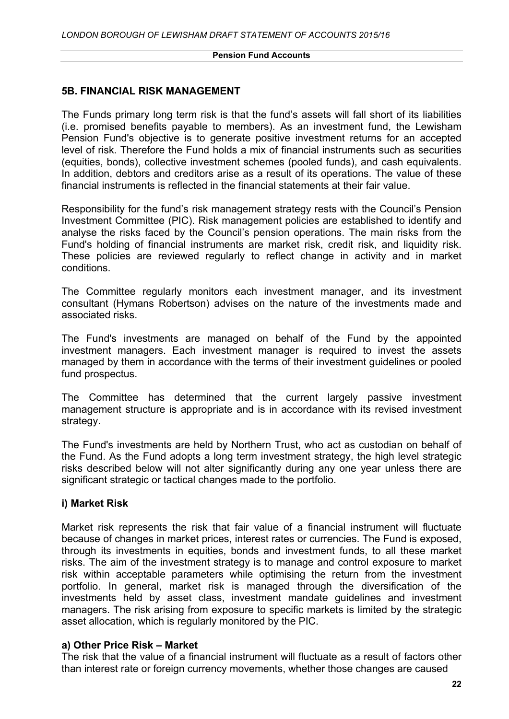### **5B. FINANCIAL RISK MANAGEMENT**

The Funds primary long term risk is that the fund's assets will fall short of its liabilities (i.e. promised benefits payable to members). As an investment fund, the Lewisham Pension Fund's objective is to generate positive investment returns for an accepted level of risk. Therefore the Fund holds a mix of financial instruments such as securities (equities, bonds), collective investment schemes (pooled funds), and cash equivalents. In addition, debtors and creditors arise as a result of its operations. The value of these financial instruments is reflected in the financial statements at their fair value.

Responsibility for the fund's risk management strategy rests with the Council's Pension Investment Committee (PIC). Risk management policies are established to identify and analyse the risks faced by the Council's pension operations. The main risks from the Fund's holding of financial instruments are market risk, credit risk, and liquidity risk. These policies are reviewed regularly to reflect change in activity and in market conditions.

The Committee regularly monitors each investment manager, and its investment consultant (Hymans Robertson) advises on the nature of the investments made and associated risks.

The Fund's investments are managed on behalf of the Fund by the appointed investment managers. Each investment manager is required to invest the assets managed by them in accordance with the terms of their investment guidelines or pooled fund prospectus.

The Committee has determined that the current largely passive investment management structure is appropriate and is in accordance with its revised investment strategy.

The Fund's investments are held by Northern Trust, who act as custodian on behalf of the Fund. As the Fund adopts a long term investment strategy, the high level strategic risks described below will not alter significantly during any one year unless there are significant strategic or tactical changes made to the portfolio.

# **i) Market Risk**

Market risk represents the risk that fair value of a financial instrument will fluctuate because of changes in market prices, interest rates or currencies. The Fund is exposed, through its investments in equities, bonds and investment funds, to all these market risks. The aim of the investment strategy is to manage and control exposure to market risk within acceptable parameters while optimising the return from the investment portfolio. In general, market risk is managed through the diversification of the investments held by asset class, investment mandate guidelines and investment managers. The risk arising from exposure to specific markets is limited by the strategic asset allocation, which is regularly monitored by the PIC.

# **a) Other Price Risk – Market**

The risk that the value of a financial instrument will fluctuate as a result of factors other than interest rate or foreign currency movements, whether those changes are caused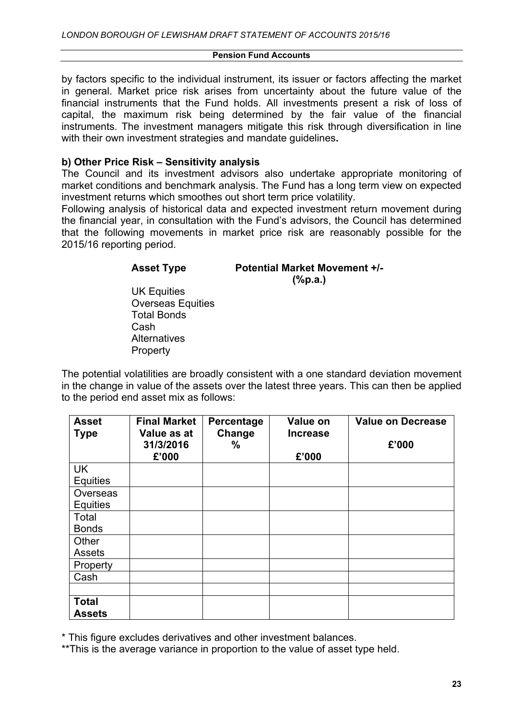by factors specific to the individual instrument, its issuer or factors affecting the market in general. Market price risk arises from uncertainty about the future value of the financial instruments that the Fund holds. All investments present a risk of loss of capital, the maximum risk being determined by the fair value of the financial instruments. The investment managers mitigate this risk through diversification in line with their own investment strategies and mandate guidelines**.**

### **b) Other Price Risk – Sensitivity analysis**

The Council and its investment advisors also undertake appropriate monitoring of market conditions and benchmark analysis. The Fund has a long term view on expected investment returns which smoothes out short term price volatility.

Following analysis of historical data and expected investment return movement during the financial year, in consultation with the Fund's advisors, the Council has determined that the following movements in market price risk are reasonably possible for the 2015/16 reporting period.

#### **Asset Type Potential Market Movement +/- (%p.a.)**

UK Equities Overseas Equities Total Bonds Cash **Alternatives Property** 

The potential volatilities are broadly consistent with a one standard deviation movement in the change in value of the assets over the latest three years. This can then be applied to the period end asset mix as follows:

| <b>Asset</b><br><b>Type</b>   | <b>Final Market</b><br>Value as at<br>31/3/2016<br>£'000 | Percentage<br>Change<br>$\%$ | Value on<br><b>Increase</b><br>£'000 | <b>Value on Decrease</b><br>£'000 |
|-------------------------------|----------------------------------------------------------|------------------------------|--------------------------------------|-----------------------------------|
| <b>UK</b>                     |                                                          |                              |                                      |                                   |
| <b>Equities</b>               |                                                          |                              |                                      |                                   |
| Overseas                      |                                                          |                              |                                      |                                   |
| <b>Equities</b>               |                                                          |                              |                                      |                                   |
| Total                         |                                                          |                              |                                      |                                   |
| <b>Bonds</b>                  |                                                          |                              |                                      |                                   |
| Other                         |                                                          |                              |                                      |                                   |
| <b>Assets</b>                 |                                                          |                              |                                      |                                   |
| Property                      |                                                          |                              |                                      |                                   |
| Cash                          |                                                          |                              |                                      |                                   |
|                               |                                                          |                              |                                      |                                   |
| <b>Total</b><br><b>Assets</b> |                                                          |                              |                                      |                                   |

\* This figure excludes derivatives and other investment balances.

\*\*This is the average variance in proportion to the value of asset type held.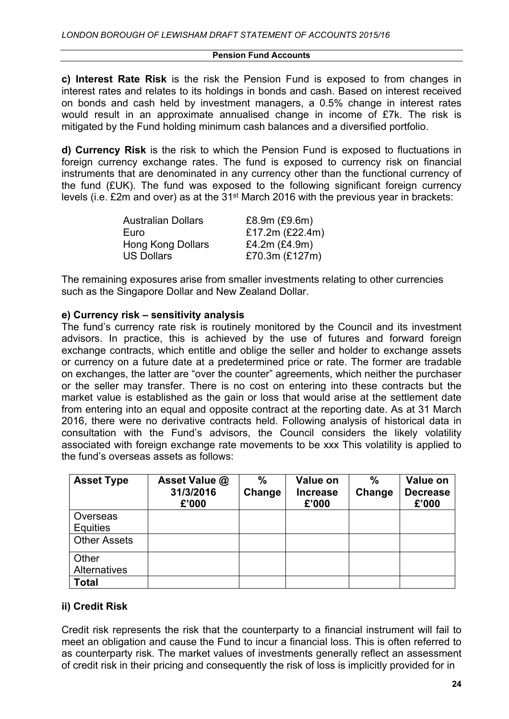**c) Interest Rate Risk** is the risk the Pension Fund is exposed to from changes in interest rates and relates to its holdings in bonds and cash. Based on interest received on bonds and cash held by investment managers, a 0.5% change in interest rates would result in an approximate annualised change in income of £7k. The risk is mitigated by the Fund holding minimum cash balances and a diversified portfolio.

**d) Currency Risk** is the risk to which the Pension Fund is exposed to fluctuations in foreign currency exchange rates. The fund is exposed to currency risk on financial instruments that are denominated in any currency other than the functional currency of the fund (£UK). The fund was exposed to the following significant foreign currency levels (i.e. £2m and over) as at the 31<sup>st</sup> March 2016 with the previous year in brackets:

| <b>Australian Dollars</b> | £8.9m (£9.6m)        |
|---------------------------|----------------------|
| Euro                      | £17.2m (£22.4m)      |
| Hong Kong Dollars         | £4.2 $m$ (£4.9 $m$ ) |
| <b>US Dollars</b>         | £70.3m (£127m)       |

The remaining exposures arise from smaller investments relating to other currencies such as the Singapore Dollar and New Zealand Dollar.

### **e) Currency risk – sensitivity analysis**

The fund's currency rate risk is routinely monitored by the Council and its investment advisors. In practice, this is achieved by the use of futures and forward foreign exchange contracts, which entitle and oblige the seller and holder to exchange assets or currency on a future date at a predetermined price or rate. The former are tradable on exchanges, the latter are "over the counter" agreements, which neither the purchaser or the seller may transfer. There is no cost on entering into these contracts but the market value is established as the gain or loss that would arise at the settlement date from entering into an equal and opposite contract at the reporting date. As at 31 March 2016, there were no derivative contracts held. Following analysis of historical data in consultation with the Fund's advisors, the Council considers the likely volatility associated with foreign exchange rate movements to be xxx This volatility is applied to the fund's overseas assets as follows:

| <b>Asset Type</b>            | Asset Value @<br>31/3/2016<br>£'000 | $\frac{0}{0}$<br>Change | Value on<br><b>Increase</b><br>£'000 | %<br>Change | Value on<br><b>Decrease</b><br>£'000 |
|------------------------------|-------------------------------------|-------------------------|--------------------------------------|-------------|--------------------------------------|
| Overseas<br><b>Equities</b>  |                                     |                         |                                      |             |                                      |
| <b>Other Assets</b>          |                                     |                         |                                      |             |                                      |
| Other<br><b>Alternatives</b> |                                     |                         |                                      |             |                                      |
| <b>Total</b>                 |                                     |                         |                                      |             |                                      |

# **ii) Credit Risk**

Credit risk represents the risk that the counterparty to a financial instrument will fail to meet an obligation and cause the Fund to incur a financial loss. This is often referred to as counterparty risk. The market values of investments generally reflect an assessment of credit risk in their pricing and consequently the risk of loss is implicitly provided for in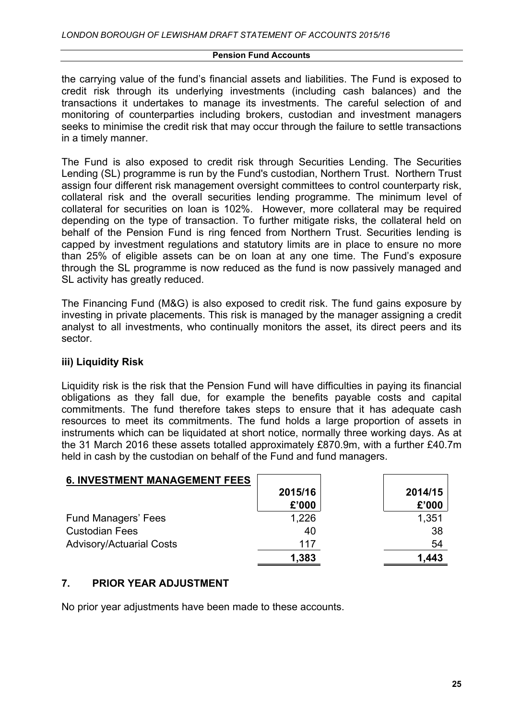the carrying value of the fund's financial assets and liabilities. The Fund is exposed to credit risk through its underlying investments (including cash balances) and the transactions it undertakes to manage its investments. The careful selection of and monitoring of counterparties including brokers, custodian and investment managers seeks to minimise the credit risk that may occur through the failure to settle transactions in a timely manner.

The Fund is also exposed to credit risk through Securities Lending. The Securities Lending (SL) programme is run by the Fund's custodian, Northern Trust. Northern Trust assign four different risk management oversight committees to control counterparty risk, collateral risk and the overall securities lending programme. The minimum level of collateral for securities on loan is 102%. However, more collateral may be required depending on the type of transaction. To further mitigate risks, the collateral held on behalf of the Pension Fund is ring fenced from Northern Trust. Securities lending is capped by investment regulations and statutory limits are in place to ensure no more than 25% of eligible assets can be on loan at any one time. The Fund's exposure through the SL programme is now reduced as the fund is now passively managed and SL activity has greatly reduced.

The Financing Fund (M&G) is also exposed to credit risk. The fund gains exposure by investing in private placements. This risk is managed by the manager assigning a credit analyst to all investments, who continually monitors the asset, its direct peers and its sector.

# **iii) Liquidity Risk**

Liquidity risk is the risk that the Pension Fund will have difficulties in paying its financial obligations as they fall due, for example the benefits payable costs and capital commitments. The fund therefore takes steps to ensure that it has adequate cash resources to meet its commitments. The fund holds a large proportion of assets in instruments which can be liquidated at short notice, normally three working days. As at the 31 March 2016 these assets totalled approximately £870.9m, with a further £40.7m held in cash by the custodian on behalf of the Fund and fund managers.

| <b>6. INVESTMENT MANAGEMENT FEES</b> |         |         |
|--------------------------------------|---------|---------|
|                                      | 2015/16 | 2014/15 |
|                                      | £'000   | £'000   |
| <b>Fund Managers' Fees</b>           | 1,226   | 1,351   |
| <b>Custodian Fees</b>                | 40      | 38      |
| <b>Advisory/Actuarial Costs</b>      | 117     | 54      |
|                                      | 1,383   | 1,443   |

# **7. PRIOR YEAR ADJUSTMENT**

No prior year adjustments have been made to these accounts.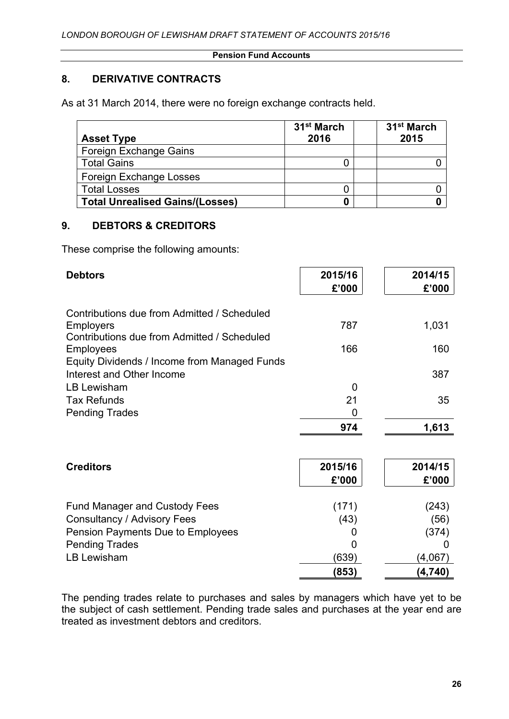# **8. DERIVATIVE CONTRACTS**

As at 31 March 2014, there were no foreign exchange contracts held.

| <b>Asset Type</b>                      | 31 <sup>st</sup> March<br>2016 | 31 <sup>st</sup> March<br>2015 |
|----------------------------------------|--------------------------------|--------------------------------|
| Foreign Exchange Gains                 |                                |                                |
| <b>Total Gains</b>                     |                                |                                |
| Foreign Exchange Losses                |                                |                                |
| <b>Total Losses</b>                    |                                |                                |
| <b>Total Unrealised Gains/(Losses)</b> |                                |                                |

# **9. DEBTORS & CREDITORS**

These comprise the following amounts:

| <b>Debtors</b>                                                                                                 | 2015/16<br>£'000   | 2014/15<br>£'000       |
|----------------------------------------------------------------------------------------------------------------|--------------------|------------------------|
| Contributions due from Admitted / Scheduled<br><b>Employers</b><br>Contributions due from Admitted / Scheduled | 787                | 1,031                  |
| <b>Employees</b><br>Equity Dividends / Income from Managed Funds                                               | 166                | 160                    |
| Interest and Other Income<br><b>LB Lewisham</b>                                                                | 0                  | 387                    |
| <b>Tax Refunds</b><br><b>Pending Trades</b>                                                                    | 21<br>0            | 35                     |
|                                                                                                                | 974                | 1,613                  |
| <b>Creditors</b>                                                                                               | 2015/16<br>£'000   | 2014/15<br>£'000       |
| <b>Fund Manager and Custody Fees</b><br>Consultancy / Advisory Fees<br>Pension Payments Due to Employees       | (171)<br>(43)<br>O | (243)<br>(56)<br>(374) |
| <b>Pending Trades</b><br><b>LB Lewisham</b>                                                                    | (639)<br>(853)     | (4,067)<br>(4,740)     |

The pending trades relate to purchases and sales by managers which have yet to be the subject of cash settlement. Pending trade sales and purchases at the year end are treated as investment debtors and creditors.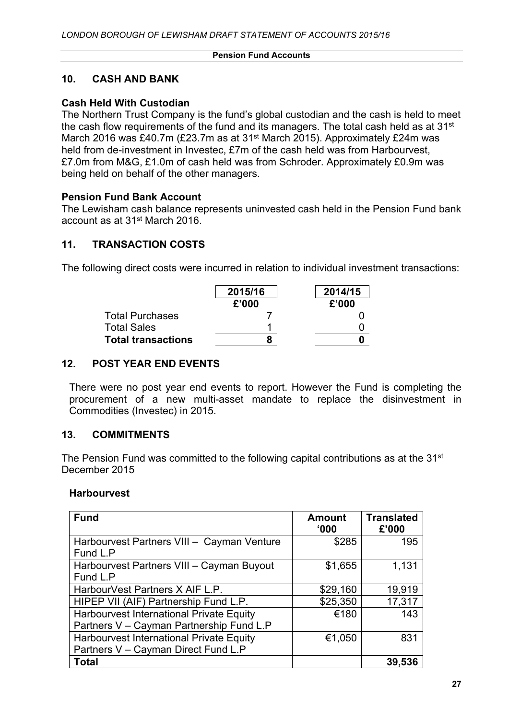### **10. CASH AND BANK**

### **Cash Held With Custodian**

The Northern Trust Company is the fund's global custodian and the cash is held to meet the cash flow requirements of the fund and its managers. The total cash held as at 31<sup>st</sup> March 2016 was £40.7m (£23.7m as at 31st March 2015). Approximately £24m was held from de-investment in Investec, £7m of the cash held was from Harbourvest, £7.0m from M&G, £1.0m of cash held was from Schroder. Approximately £0.9m was being held on behalf of the other managers.

### **Pension Fund Bank Account**

The Lewisham cash balance represents uninvested cash held in the Pension Fund bank account as at 31st March 2016.

# **11. TRANSACTION COSTS**

The following direct costs were incurred in relation to individual investment transactions:

|                           | 2015/16<br>£'000 | 2014/15<br>£'000 |
|---------------------------|------------------|------------------|
| <b>Total Purchases</b>    |                  |                  |
| <b>Total Sales</b>        |                  |                  |
| <b>Total transactions</b> |                  |                  |

# **12. POST YEAR END EVENTS**

There were no post year end events to report. However the Fund is completing the procurement of a new multi-asset mandate to replace the disinvestment in Commodities (Investec) in 2015.

### **13. COMMITMENTS**

The Pension Fund was committed to the following capital contributions as at the 31st December 2015

### **Harbourvest**

| <b>Fund</b>                                                                          | <b>Amount</b><br>000' | <b>Translated</b><br>£'000 |
|--------------------------------------------------------------------------------------|-----------------------|----------------------------|
| Harbourvest Partners VIII - Cayman Venture<br>Fund L.P                               | \$285                 | 195                        |
| Harbourvest Partners VIII - Cayman Buyout<br>Fund L.P                                | \$1,655               | 1,131                      |
| HarbourVest Partners X AIF L.P.                                                      | \$29,160              | 19,919                     |
| HIPEP VII (AIF) Partnership Fund L.P.                                                | \$25,350              | 17,317                     |
| Harbourvest International Private Equity<br>Partners V - Cayman Partnership Fund L.P | €180                  | 143                        |
| Harbourvest International Private Equity                                             | €1,050                | 831                        |
| Partners V - Cayman Direct Fund L.P                                                  |                       |                            |
| <b>Total</b>                                                                         |                       | 39,536                     |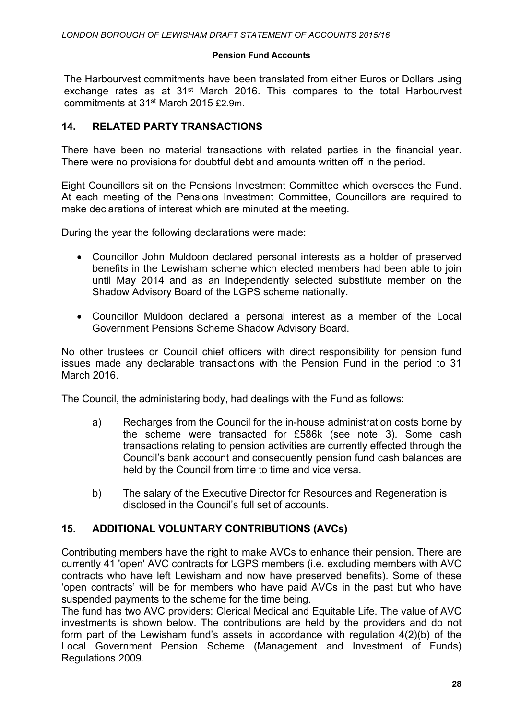The Harbourvest commitments have been translated from either Euros or Dollars using exchange rates as at 31<sup>st</sup> March 2016. This compares to the total Harbourvest commitments at 31st March 2015 £2.9m.

### **14. RELATED PARTY TRANSACTIONS**

There have been no material transactions with related parties in the financial year. There were no provisions for doubtful debt and amounts written off in the period.

Eight Councillors sit on the Pensions Investment Committee which oversees the Fund. At each meeting of the Pensions Investment Committee, Councillors are required to make declarations of interest which are minuted at the meeting.

During the year the following declarations were made:

- Councillor John Muldoon declared personal interests as a holder of preserved benefits in the Lewisham scheme which elected members had been able to join until May 2014 and as an independently selected substitute member on the Shadow Advisory Board of the LGPS scheme nationally.
- Councillor Muldoon declared a personal interest as a member of the Local Government Pensions Scheme Shadow Advisory Board.

No other trustees or Council chief officers with direct responsibility for pension fund issues made any declarable transactions with the Pension Fund in the period to 31 March 2016.

The Council, the administering body, had dealings with the Fund as follows:

- a) Recharges from the Council for the in-house administration costs borne by the scheme were transacted for £586k (see note 3). Some cash transactions relating to pension activities are currently effected through the Council's bank account and consequently pension fund cash balances are held by the Council from time to time and vice versa.
- b) The salary of the Executive Director for Resources and Regeneration is disclosed in the Council's full set of accounts.

# **15. ADDITIONAL VOLUNTARY CONTRIBUTIONS (AVCs)**

Contributing members have the right to make AVCs to enhance their pension. There are currently 41 'open' AVC contracts for LGPS members (i.e. excluding members with AVC contracts who have left Lewisham and now have preserved benefits). Some of these 'open contracts' will be for members who have paid AVCs in the past but who have suspended payments to the scheme for the time being.

The fund has two AVC providers: Clerical Medical and Equitable Life. The value of AVC investments is shown below. The contributions are held by the providers and do not form part of the Lewisham fund's assets in accordance with regulation 4(2)(b) of the Local Government Pension Scheme (Management and Investment of Funds) Regulations 2009.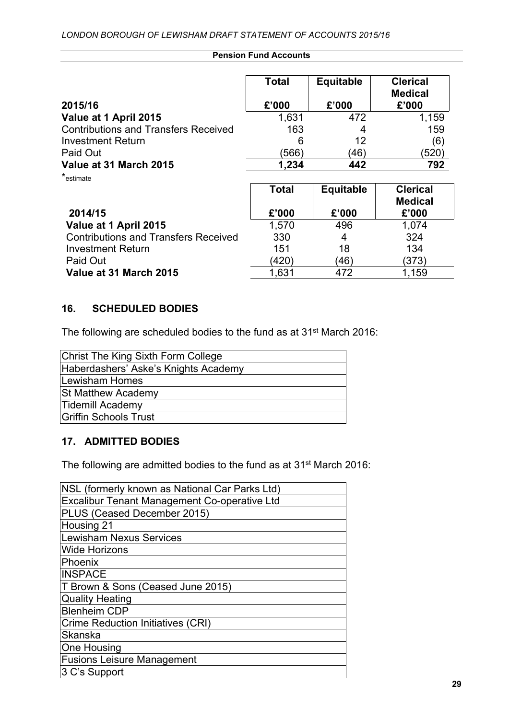|                                             | <b>Total</b> | <b>Equitable</b> | <b>Clerical</b><br><b>Medical</b> |
|---------------------------------------------|--------------|------------------|-----------------------------------|
| 2015/16                                     | £'000        | £'000            | £'000                             |
| Value at 1 April 2015                       | 1,631        | 472              | 1,159                             |
| <b>Contributions and Transfers Received</b> | 163          | 4                | 159                               |
| <b>Investment Return</b>                    | 6            | 12               | (6)                               |
| Paid Out                                    | (566)        | (46)             | (520)                             |
| Value at 31 March 2015                      | 1,234        | 442              | 792                               |
| *estimate                                   |              |                  |                                   |

|                                             | <b>Total</b> | <b>Equitable</b> | <b>Clerical</b><br><b>Medical</b> |
|---------------------------------------------|--------------|------------------|-----------------------------------|
| 2014/15                                     | £'000        | £'000            | £'000                             |
| Value at 1 April 2015                       | 1,570        | 496              | 1.074                             |
| <b>Contributions and Transfers Received</b> | 330          | 4                | 324                               |
| <b>Investment Return</b>                    | 151          | 18               | 134                               |
| Paid Out                                    | (420)        | (46)             | (373)                             |
| Value at 31 March 2015                      | 1,631        | 472              | 1,159                             |

# **16. SCHEDULED BODIES**

The following are scheduled bodies to the fund as at 31st March 2016:

| Christ The King Sixth Form College   |
|--------------------------------------|
| Haberdashers' Aske's Knights Academy |
| Lewisham Homes                       |
| <b>St Matthew Academy</b>            |
| Tidemill Academy                     |
| Griffin Schools Trust                |

### **17. ADMITTED BODIES**

The following are admitted bodies to the fund as at 31st March 2016:

| NSL (formerly known as National Car Parks Ltd) |
|------------------------------------------------|
| Excalibur Tenant Management Co-operative Ltd   |
| PLUS (Ceased December 2015)                    |
| Housing 21                                     |
| <b>Lewisham Nexus Services</b>                 |
| <b>Wide Horizons</b>                           |
| Phoenix                                        |
| <b>INSPACE</b>                                 |
| T Brown & Sons (Ceased June 2015)              |
| <b>Quality Heating</b>                         |
| <b>Blenheim CDP</b>                            |
| <b>Crime Reduction Initiatives (CRI)</b>       |
| <b>Skanska</b>                                 |
| One Housing                                    |
| <b>Fusions Leisure Management</b>              |
| 3 C's Support                                  |
|                                                |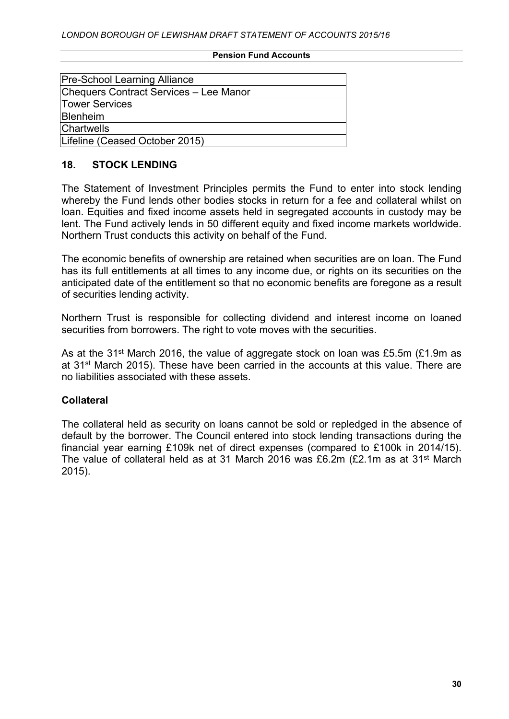| <b>Pre-School Learning Alliance</b>    |
|----------------------------------------|
| Chequers Contract Services - Lee Manor |
| Tower Services                         |
| Blenheim                               |
| Chartwells                             |
| Lifeline (Ceased October 2015)         |
|                                        |

### **18. STOCK LENDING**

The Statement of Investment Principles permits the Fund to enter into stock lending whereby the Fund lends other bodies stocks in return for a fee and collateral whilst on loan. Equities and fixed income assets held in segregated accounts in custody may be lent. The Fund actively lends in 50 different equity and fixed income markets worldwide. Northern Trust conducts this activity on behalf of the Fund.

The economic benefits of ownership are retained when securities are on loan. The Fund has its full entitlements at all times to any income due, or rights on its securities on the anticipated date of the entitlement so that no economic benefits are foregone as a result of securities lending activity.

Northern Trust is responsible for collecting dividend and interest income on loaned securities from borrowers. The right to vote moves with the securities.

As at the 31<sup>st</sup> March 2016, the value of aggregate stock on loan was £5.5m (£1.9m as at 31st March 2015). These have been carried in the accounts at this value. There are no liabilities associated with these assets.

# **Collateral**

The collateral held as security on loans cannot be sold or repledged in the absence of default by the borrower. The Council entered into stock lending transactions during the financial year earning £109k net of direct expenses (compared to £100k in 2014/15). The value of collateral held as at 31 March 2016 was £6.2m (£2.1m as at 31st March 2015).